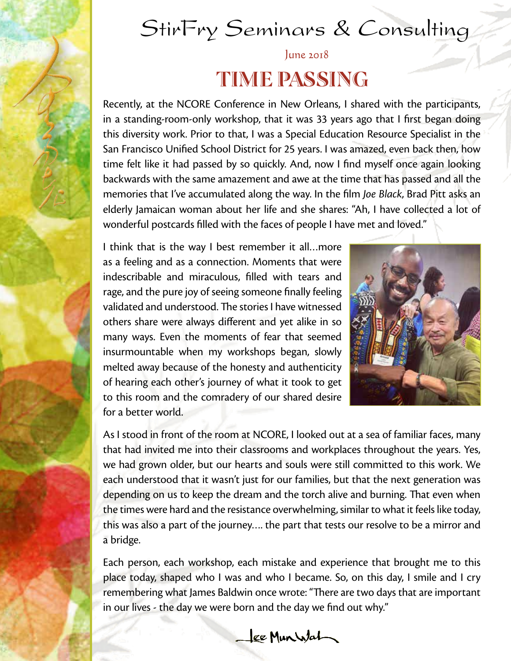# StirFry Seminars & Consulting

## June 2018 TIME PASSING

Recently, at the NCORE Conference in New Orleans, I shared with the participants, in a standing-room-only workshop, that it was 33 years ago that I first began doing this diversity work. Prior to that, I was a Special Education Resource Specialist in the San Francisco Unified School District for 25 years. I was amazed, even back then, how time felt like it had passed by so quickly. And, now I find myself once again looking backwards with the same amazement and awe at the time that has passed and all the memories that I've accumulated along the way. In the film *Joe Black*, Brad Pitt asks an elderly Jamaican woman about her life and she shares: "Ah, I have collected a lot of wonderful postcards filled with the faces of people I have met and loved."

I think that is the way I best remember it all…more as a feeling and as a connection. Moments that were indescribable and miraculous, filled with tears and rage, and the pure joy of seeing someone finally feeling validated and understood. The stories I have witnessed others share were always different and yet alike in so many ways. Even the moments of fear that seemed insurmountable when my workshops began, slowly melted away because of the honesty and authenticity of hearing each other's journey of what it took to get to this room and the comradery of our shared desire for a better world.



As I stood in front of the room at NCORE, I looked out at a sea of familiar faces, many that had invited me into their classrooms and workplaces throughout the years. Yes, we had grown older, but our hearts and souls were still committed to this work. We each understood that it wasn't just for our families, but that the next generation was depending on us to keep the dream and the torch alive and burning. That even when the times were hard and the resistance overwhelming, similar to what it feels like today, this was also a part of the journey…. the part that tests our resolve to be a mirror and a bridge.

Each person, each workshop, each mistake and experience that brought me to this place today, shaped who I was and who I became. So, on this day, I smile and I cry remembering what James Baldwin once wrote: "There are two days that are important in our lives - the day we were born and the day we find out why."

ee Munistat